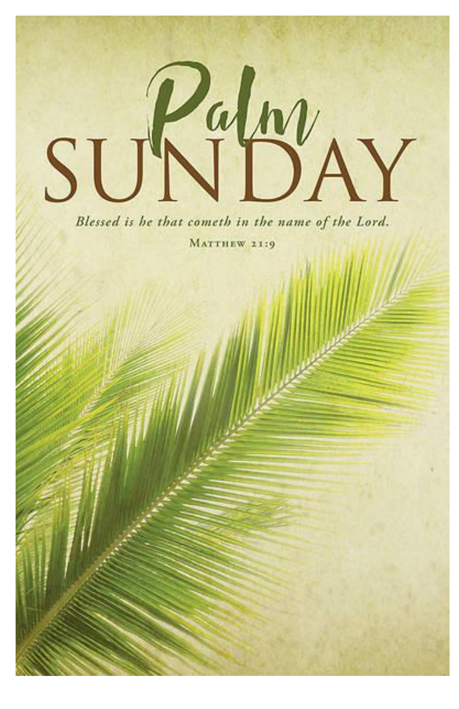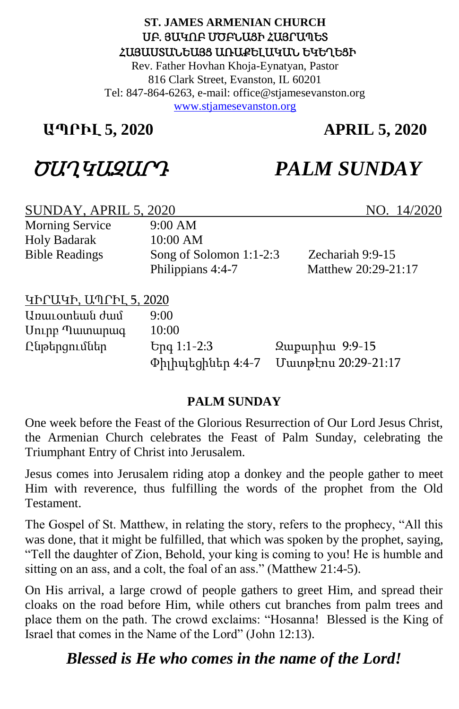#### **ST. JAMES ARMENIAN CHURCH** ՍԲ. ՅԱԿՈԲ ՄԾԲՆԱՑԻ ՀԱՅՐԱՊԵՏ ՀԱՅԱՍՏԱՆԵԱՅՑ ԱՌԱՔԵԼԱԿԱՆ ԵԿԵՂԵՑԻ

Rev. Father Hovhan Khoja-Eynatyan, Pastor 816 Clark Street, Evanston, IL 60201 Tel: 847-864-6263, e-mail: office@stjamesevanston.org [www.stjamesevanston.org](http://www.stjamesevanston.org/)

**ԱՊՐԻԼ 5, 2020 APRIL 5, 2020** 

# ԾԱՂԿԱԶԱՐԴ *PALM SUNDAY*

| SUNDAY, APRIL 5, 2020 |                                                | NO. 14/2020                             |
|-----------------------|------------------------------------------------|-----------------------------------------|
| Morning Service       | 9:00 AM                                        |                                         |
| Holy Badarak          | 10:00 AM                                       |                                         |
| <b>Bible Readings</b> | Song of Solomon $1:1-2:3$<br>Philippians 4:4-7 | Zechariah 9:9-15<br>Matthew 20:29-21:17 |
|                       |                                                |                                         |

# ԿԻՐԱԿԻ, ԱՊՐԻԼ 5, 2020

| Ununountuuu duu | 9(0)                    |                     |
|-----------------|-------------------------|---------------------|
| Uning Tuununung | 10:00                   |                     |
| Ընթերցումներ    | $_{\text{tpq}}$ 1:1-2:3 | Զաքարիա 9:9-15      |
|                 | $\Phi$ իլիպեցիներ 4։4-7 | Մատթէոս 20:29-21:17 |

### **PALM SUNDAY**

One week before the Feast of the Glorious Resurrection of Our Lord Jesus Christ, the Armenian Church celebrates the Feast of Palm Sunday, celebrating the Triumphant Entry of Christ into Jerusalem.

Jesus comes into Jerusalem riding atop a donkey and the people gather to meet Him with reverence, thus fulfilling the words of the prophet from the Old Testament.

The Gospel of St. Matthew, in relating the story, refers to the prophecy, "All this was done, that it might be fulfilled, that which was spoken by the prophet, saying, "Tell the daughter of Zion, Behold, your king is coming to you! He is humble and sitting on an ass, and a colt, the foal of an ass." (Matthew 21:4-5).

On His arrival, a large crowd of people gathers to greet Him, and spread their cloaks on the road before Him, while others cut branches from palm trees and place them on the path. The crowd exclaims: "Hosanna! Blessed is the King of Israel that comes in the Name of the Lord" (Jօհn 12:13).

*Blessed is He who comes in the name of the Lord!*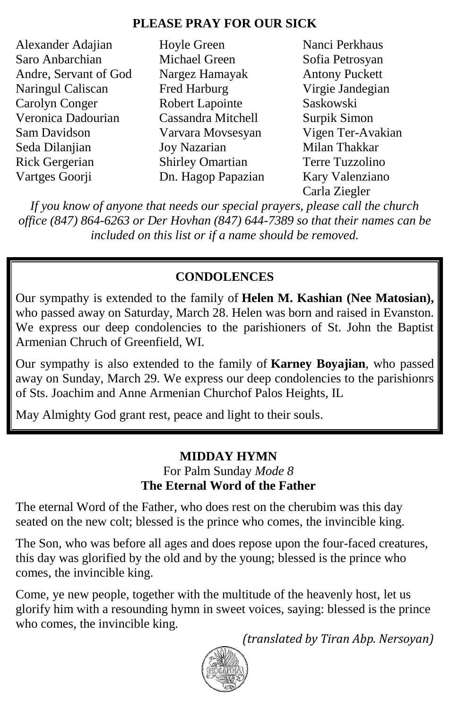#### **PLEASE PRAY FOR OUR SICK**

Alexander Adajian Saro Anbarchian Andre, Servant of God Naringul Caliscan Carolyn Conger Veronica Dadourian Sam Davidson Seda Dilanjian Rick Gergerian Vartges Goorji

Hoyle Green Michael Green Nargez Hamayak Fred Harburg Robert Lapointe Cassandra Mitchell Varvara Movsesyan Joy Nazarian Shirley Omartian Dn. Hagop Papazian Nanci Perkhaus Sofia Petrosyan Antony Puckett Virgie Jandegian Saskowski Surpik Simon Vigen Ter-Avakian Milan Thakkar Terre Tuzzolino Kary Valenziano Carla Ziegler

*If you know of anyone that needs our special prayers, please call the church office (847) 864-6263 or Der Hovhan (847) 644-7389 so that their names can be included on this list or if a name should be removed.*

# **CONDOLENCES**

Our sympathy is extended to the family of **Helen M. Kashian (Nee Matosian),** who passed away on Saturday, March 28. Helen was born and raised in Evanston. We express our deep condolencies to the parishioners of St. John the Baptist Armenian Chruch of Greenfield, WI.

Our sympathy is also extended to the family of **Karney Boyajian**, who passed away on Sunday, March 29. We express our deep condolencies to the parishionrs of Sts. Joachim and Anne Armenian Churchof Palos Heights, IL

May Almighty God grant rest, peace and light to their souls.

# **MIDDAY HYMN**

For Palm Sunday *Mode 8* **The Eternal Word of the Father**

The eternal Word of the Father, who does rest on the cherubim was this day seated on the new colt; blessed is the prince who comes, the invincible king.

The Son, who was before all ages and does repose upon the four-faced creatures, this day was glorified by the old and by the young; blessed is the prince who comes, the invincible king.

Come, ye new people, together with the multitude of the heavenly host, let us glorify him with a resounding hymn in sweet voices, saying: blessed is the prince who comes, the invincible king.

*(translated by Tiran Abp. Nersoyan)*

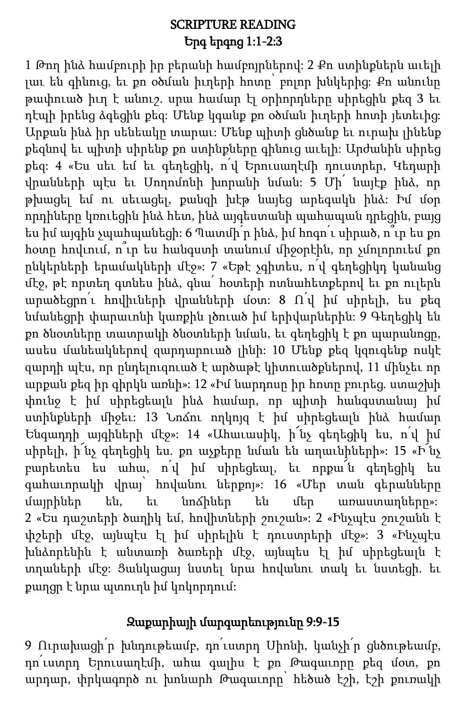# SCRIPTURE READING Երգ երգոց 1:1-2:3

1 Թող ինձ համբուրի իր բերանի համբոյրներով: 2 Քո ստինքներն աւելի լաւ են գինուց, եւ քո օծման իւղերի հոտը՝ բոլոր խնկերից: Քո անունը թափուած իւղ է անուշ. սրա համար էլ օրիորդները սիրեցին քեզ 3 եւ դէպի իրենց ձգեցին քեզ: Մենք կգանք քո օծման իւղերի հոտի յետեւից: Արքան ինձ իր սենեակը տարաւ: Մենք պիտի ցնծանք եւ ուրախ լինենք քեզնով եւ պիտի սիրենք քո ստինքները գինուց աւելի: Արժանին սիրեց քեզ: 4 «Ես սեւ եմ եւ գեղեցիկ, ո՛վ Երուսաղէմի դուստրեր, Կեդարի վրանների պէս եւ Սողոմոնի խորանի նման: 5 Մի՛ նայէք ինձ, որ թխացել եմ ու սեւացել, քանզի խէթ նայեց արեգակն ինձ: Իմ մօր որդիները կռուեցին ինձ հետ, ինձ այգեստանի պահապան դրեցին, բայց ես իմ այգին չպահպանեցի: 6 Պատմի՛ր ինձ, իմ հոգո՛ւ սիրած, ո՞ւր ես քո հօտը հովւում, ո՞ւր ես հանգստի տանում միջօրէին, որ չմոլորուեմ քո ընկերների երամակների մէջ»: 7 «Եթէ չգիտես, ո՛վ գեղեցիկդ կանանց մէջ, թէ որտեղ գտնես ինձ, գնա՛ հօտերի ոտնահետքերով եւ քո ուլերն արածեցրո՛ւ հովիւների վրանների մօտ: 8 Ո՛վ իմ սիրելի, ես քեզ նմանեցրի փարաւոնի կառքին լծուած իմ երիվարներին: 9 Գեղեցիկ են քո ծնօտները տատրակի ծնօտների նման, եւ գեղեցիկ է քո պարանոցը, ասես մանեակներով զարդարուած լինի: 10 Մենք քեզ կզուգենք ոսկէ զարդի պէս, որ ընդելուզուած է արծաթէ կիտուածքներով, 11 մինչեւ որ արքան քեզ իր գիրկն առնի»: 12 «Իմ նարդոսը իր հոտը բուրեց. ստաշխի փունջ է իմ սիրեցեալն ինձ համար, որ պիտի հանգստանայ իմ ստինքների միջեւ: 13 Նոճու ողկոյզ է իմ սիրեցեալն ինձ համար Ենգադդի այգիների մէջ»: 14 «Ահաւասիկ, ի՜նչ գեղեցիկ ես, ո՛վ իմ սիրելի, ի՜նչ գեղեցիկ ես. քո աչքերը նման են աղաւնիների»: 15 «Ի՜նչ բարետես ես ահա, ո՛վ իմ սիրեցեալ, եւ որքա՜ն գեղեցիկ ես գահաւորակի վրայ՝ հովանու ներքոյ»: 16 «Մեր տան գերանները մայրիներ են, եւ նոճիներ են մեր առաստաղները»: 2 «Ես դաշտերի ծաղիկ եմ, հովիտների շուշան»: 2 «Ինչպէս շուշանն է փշերի մէջ, այնպէս էլ իմ սիրելին է դուստրերի մէջ»: 3 «Ինչպէս խնձորենին է անտառի ծառերի մէջ, այնպես էլ իմ սիրեցեալն է տղաների մէջ: Ցանկացայ նստել նրա հովանու տակ եւ նստեցի. եւ քաղցր է նրա պտուղն իմ կոկորդում:

# Զաքարիայի մարգարեությունը 9:9-15

9 Ուրախացի՛ր խնդութեամբ, դո՛ւստրդ Սիոնի, կանչի՛ր ցնծութեամբ, դո՛ւստրդ Երուսաղէմի, ահա գալիս է քո Թագաւորը քեզ մօտ, քո արդար, փրկագործ ու խոնարհ Թագաւորը՝ հեծած էշի, էշի քուռակի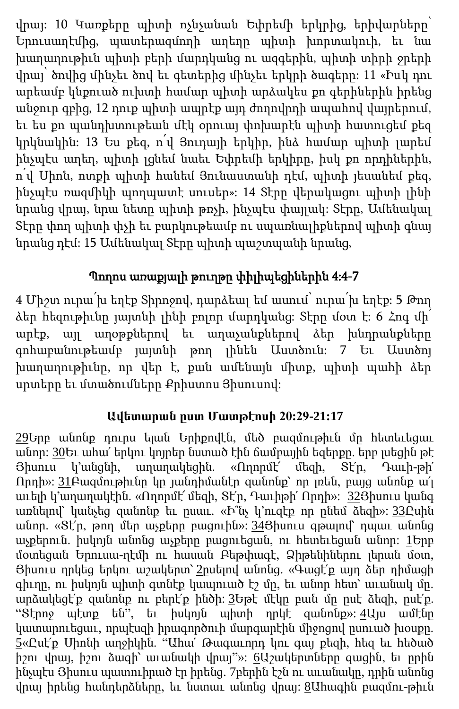վրայ: 10 Կառքերը պիտի ոչնչանան Եփրեմի երկրից, երիվարները՝ Երուսաղէմից, պատերազմողի աղեղը պիտի խորտակուի, եւ նա խաղաղութիւն պիտի բերի մարդկանց ու ազգերին, պիտի տիրի ջրերի վրայ՝ ծովից մինչեւ ծով եւ գետերից մինչեւ երկրի ծագերը: 11 «Իսկ դու արեամբ կնքուած ուխտի համար պիտի արձակես քո գերիներին իրենց անջուր գբից, 12 դուք պիտի ապրէք այդ ժողովրդի ապահով վայրերում, եւ ես քո պանդխտութեան մէկ օրուայ փոխարէն պիտի հատուցեմ քեզ կրկնակին: 13 Ես քեզ, ո՛վ Յուդայի երկիր, ինձ համար պիտի լարեմ ինչպէս աղեղ, պիտի լցնեմ նաեւ Եփրեմի երկիրը, իսկ քո որդիներին, ո՛վ Սիոն, ոտքի պիտի հանեմ Յունաստանի դէմ, պիտի յեսանեմ քեզ, ինչպէս ռազմիկի պողպատէ սուսեր»: 14 Տէրը վերակացու պիտի լինի նրանց վրայ, նրա նետը պիտի թռչի, ինչպէս փայլակ: Տէրը, Ամենակալ Տէրը փող պիտի փչի եւ բարկութեամբ ու սպառնալիքներով պիտի գնայ նրանց դէմ: 15 Ամենակալ Տէրը պիտի պաշտպանի նրանց,

# Պողոս առաքյալի թուղթը փիլիպեցիներին 4:4-7

4 Միշտ ուրա՛խ եղէք Տիրոջով, դարձեալ եմ ասում՝ ուրա՛խ եղէք: 5 Թող ձեր հեզութիւնը յայտնի լինի բոլոր մարդկանց: Տէրը մօտ է: 6 Հոգ մի՛ արէք, այլ աղօթքներով եւ աղաչանքներով ձեր խնդրանքները գոհաբանութեամբ յայտնի թող լինեն Աստծուն: 7 Եւ Աստծոյ խաղաղութիւնը, որ վեր է, քան ամենայն միտք, պիտի պահի ձեր սրտերը եւ մտածումները Քրիստոս Յիսուսով:

# **Ավետարան ըստ Մատթէոսի 20:29-21:17**

[29Ե](http://scripturetext.com/matthew/20-29.htm)րբ անոնք դուրս ելան Երիքովէն, մեծ բազմութիւն մը հետեւեցաւ անոր: [30Ե](http://scripturetext.com/matthew/20-30.htm)ւ ահա՛ երկու կոյրեր նստած էին ճամբային եզերքը. երբ լսեցին թէ Յիսուս կ՚անցնի, աղաղակեցին. «Ողորմէ՜ մեզի, Տէ՛ր, Դաւի-թի՛ Որդի»: [31Բ](http://scripturetext.com/matthew/20-31.htm)ազմութիւնը կը յանդիմանէր զանոնք՝ որ լռեն, բայց անոնք ա՛լ աւելի կ՚աղաղակէին. «Ողորմէ՜ մեզի, Տէ՛ր, Դաւիթի՛ Որդի»: [32Յ](http://scripturetext.com/matthew/20-32.htm)իսուս կանգ առնելով՝ կանչեց զանոնք եւ ըսաւ. «Ի՞նչ կ՚ուզէք որ ընեմ ձեզի»: [33Ը](http://scripturetext.com/matthew/20-33.htm)սին անոր. «Տէ՛ր, թող մեր աչքերը բացուին»: [34Յ](http://scripturetext.com/matthew/20-34.htm)իսուս գթալով՝ դպաւ անոնց աչքերուն. իսկոյն անոնց աչքերը բացուեցան, ու հետեւեցան անոր։ <u>1</u>Երբ մօտեցան Երուսա-ղէմի ու հասան Բեթփագէ, Ձիթենիներու լերան մօտ, Յիսուս ղրկեց երկու աշակերտ՝ [2ը](http://scripturetext.com/matthew/21-2.htm)սելով անոնց. «Գացէ՛ք այդ ձեր դիմացի գիւղը, ու իսկոյն պիտի գտնէք կապուած էշ մը, եւ անոր հետ՝ աւանակ մը. արձակեցէ՛ք զանոնք ու բերէ՛ք ինծի: [3Ե](http://scripturetext.com/matthew/21-3.htm)թէ մէկը բան մը ըսէ ձեզի, ըսէ՛ք. "Տէրոջ պէտք են", եւ իսկոյն պիտի ղրկէ զանոնք»։  $4$ Այս ամէնը կատարուեցաւ, որպէսզի իրագործուի մարգարէին միջոցով ըսուած խօսքը. [5«](http://scripturetext.com/matthew/21-5.htm)Ըսէ՛ք Սիոնի աղջիկին. "Ահա՛ Թագաւորդ կու գայ քեզի, հեզ եւ հեծած իշու վրայ, իշու ձագի՝ աւանակի վրայ՚՚»։ <u>6</u>Աշակերտները գացին, եւ ըրին ինչպէս Յիսուս պատուիրած էր իրենց. [7բ](http://scripturetext.com/matthew/21-7.htm)երին էշն ու աւանակը, դրին անոնց վրայ իրենց հանդերձները, եւ նստաւ անոնց վրայ։ [8Ա](http://scripturetext.com/matthew/21-8.htm)հագին բազմու-թիւն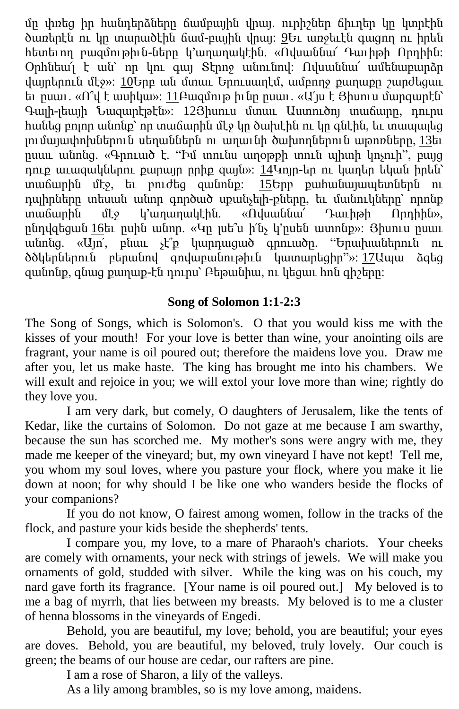մը փռեց իր հանդերձները ճամբային վրայ. ուրիշներ ճիւղեր կը կտրէին ծառերէն ու կը տարածէին ճամ-բային վրայ: [9Ե](http://scripturetext.com/matthew/21-9.htm)ւ առջեւէն գացող ու իրեն հետեւող բազմութիւն-ները կ՚աղաղակէին. «Ովսաննա՜ Դաւիթի Որդիին: Օրհնեա՜լ է ան՝ որ կու գայ Տէրոջ անունով: Ովսաննա՜ ամենաբարձր վայրերուն մէջ»: [10Ե](http://scripturetext.com/matthew/21-10.htm)րբ ան մտաւ Երուսաղէմ, ամբողջ քաղաքը շարժեցաւ եւ ըսաւ. «Ո՞վ է ասիկա»: [11Բ](http://scripturetext.com/matthew/21-11.htm)ազմութ իւնը ըսաւ. «Ա՛յս է Յիսուս մարգարէն՝ Գալի-լեայի Նազարէթէն»: [12Յ](http://scripturetext.com/matthew/21-12.htm)իսուս մտաւ Աստուծոյ տաճարը, դուրս հանեց բոլոր անոնք՝ որ տաճարին մէջ կը ծախէին ու կը գնէին, եւ տապալեց լումայափոխներուն սեղաններն ու աղաւնի ծախողներուն աթոռները, [13ե](http://scripturetext.com/matthew/21-13.htm)ւ ըսաւ անոնց. «Գրուած է. "Իմ տունս աղօթքի տուն պիտի կոչուի", բայց դուք աւազակներու քարայր ըրիք զայն»: [14Կ](http://scripturetext.com/matthew/21-14.htm)ոյր-եր ու կաղեր եկան իրեն՝ տաճարին մէջ, եւ բուժեց զանոնք: [15Ե](http://scripturetext.com/matthew/21-15.htm)րբ քահանայապետներն ու դպիրները տեսան անոր գործած սքանչելի-քները, եւ մանուկները՝ որոնք տաճարին մէջ կ՚աղաղակէին. «Ովսաննա՜ Դաւիթի Որդիին», ընդվզեցան [16ե](http://scripturetext.com/matthew/21-16.htm)ւ ըսին անոր. «Կը լսե՞ս ի՛նչ կ՚ըսեն ատոնք»: Յիսուս ըսաւ անոնց. «Այո՛, բնաւ չէ՞ք կարդացած գրուածը. "Երախաներուն ու ծծկերներուն բերանով գովաբանութիւն կատարեցիր"»: [17Ա](http://scripturetext.com/matthew/21-17.htm)պա ձգեց զանոնք, գնաց քաղաք-էն դուրս՝ Բեթանիա, ու կեցաւ հոն գիշերը:

### **Song of Solomon 1:1-2:3**

The Song of Songs, which is Solomon's. O that you would kiss me with the kisses of your mouth! For your love is better than wine, your anointing oils are fragrant, your name is oil poured out; therefore the maidens love you. Draw me after you, let us make haste. The king has brought me into his chambers. We will exult and rejoice in you; we will extol your love more than wine; rightly do they love you.

I am very dark, but comely, O daughters of Jerusalem, like the tents of Kedar, like the curtains of Solomon. Do not gaze at me because I am swarthy, because the sun has scorched me. My mother's sons were angry with me, they made me keeper of the vineyard; but, my own vineyard I have not kept! Tell me, you whom my soul loves, where you pasture your flock, where you make it lie down at noon; for why should I be like one who wanders beside the flocks of your companions?

If you do not know, O fairest among women, follow in the tracks of the flock, and pasture your kids beside the shepherds' tents.

I compare you, my love, to a mare of Pharaoh's chariots. Your cheeks are comely with ornaments, your neck with strings of jewels. We will make you ornaments of gold, studded with silver. While the king was on his couch, my nard gave forth its fragrance. [Your name is oil poured out.] My beloved is to me a bag of myrrh, that lies between my breasts. My beloved is to me a cluster of henna blossoms in the vineyards of Engedi.

Behold, you are beautiful, my love; behold, you are beautiful; your eyes are doves. Behold, you are beautiful, my beloved, truly lovely. Our couch is green; the beams of our house are cedar, our rafters are pine.

I am a rose of Sharon, a lily of the valleys.

As a lily among brambles, so is my love among, maidens.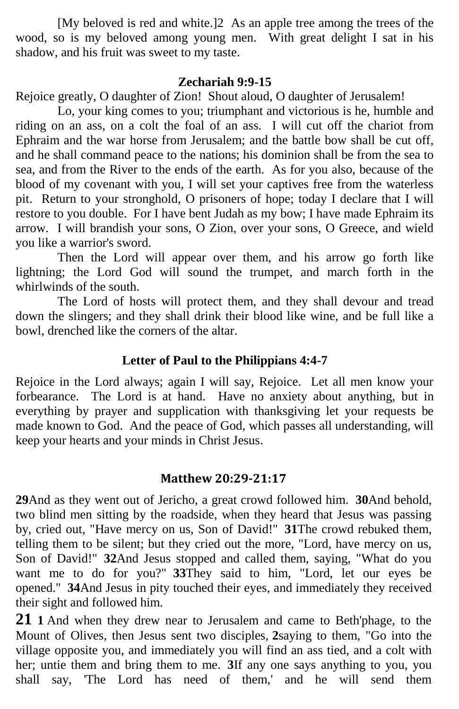[My beloved is red and white.]2 As an apple tree among the trees of the wood, so is my beloved among young men. With great delight I sat in his shadow, and his fruit was sweet to my taste.

#### **Zechariah 9:9-15**

Rejoice greatly, O daughter of Zion! Shout aloud, O daughter of Jerusalem!

Lo, your king comes to you; triumphant and victorious is he, humble and riding on an ass, on a colt the foal of an ass. I will cut off the chariot from Ephraim and the war horse from Jerusalem; and the battle bow shall be cut off, and he shall command peace to the nations; his dominion shall be from the sea to sea, and from the River to the ends of the earth. As for you also, because of the blood of my covenant with you, I will set your captives free from the waterless pit. Return to your stronghold, O prisoners of hope; today I declare that I will restore to you double. For I have bent Judah as my bow; I have made Ephraim its arrow. I will brandish your sons, O Zion, over your sons, O Greece, and wield you like a warrior's sword.

Then the Lord will appear over them, and his arrow go forth like lightning; the Lord God will sound the trumpet, and march forth in the whirlwinds of the south.

The Lord of hosts will protect them, and they shall devour and tread down the slingers; and they shall drink their blood like wine, and be full like a bowl, drenched like the corners of the altar.

#### **Letter of Paul to the Philippians 4:4-7**

Rejoice in the Lord always; again I will say, Rejoice. Let all men know your forbearance. The Lord is at hand. Have no anxiety about anything, but in everything by prayer and supplication with thanksgiving let your requests be made known to God. And the peace of God, which passes all understanding, will keep your hearts and your minds in Christ Jesus.

#### **Matthew 20:29-21:17**

**29**And as they went out of Jericho, a great crowd followed him. **30**And behold, two blind men sitting by the roadside, when they heard that Jesus was passing by, cried out, "Have mercy on us, Son of David!" **31**The crowd rebuked them, telling them to be silent; but they cried out the more, "Lord, have mercy on us, Son of David!" **32**And Jesus stopped and called them, saying, "What do you want me to do for you?" **33**They said to him, "Lord, let our eyes be opened." **34**And Jesus in pity touched their eyes, and immediately they received their sight and followed him.

**21 1** And when they drew near to Jerusalem and came to Beth'phage, to the Mount of Olives, then Jesus sent two disciples, **2**saying to them, "Go into the village opposite you, and immediately you will find an ass tied, and a colt with her; untie them and bring them to me. **3**If any one says anything to you, you shall say, 'The Lord has need of them,' and he will send them